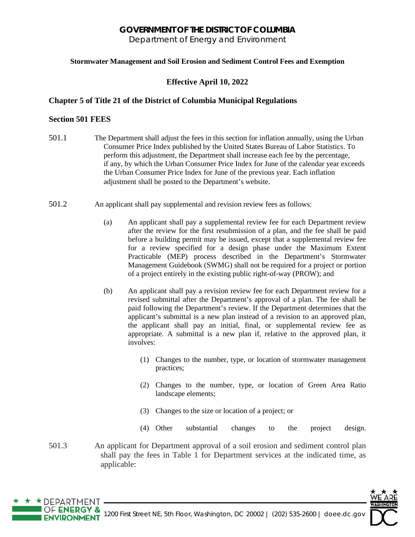# **GOVERNMENT OF THE DISTRICT OF COLUMBIA**

Department of Energy and Environment

### **Stormwater Management and Soil Erosion and Sediment Control Fees and Exemption**

## **Effective April 10, 2022**

### **Chapter 5 of Title 21 of the District of Columbia Municipal Regulations**

### **Section 501 FEES**

 $\star$  DEPARTMENT

- 501.1 The Department shall adjust the fees in this section for inflation annually, using the Urban Consumer Price Index published by the United States Bureau of Labor Statistics. To perform this adjustment, the Department shall increase each fee by the percentage, if any, by which the Urban Consumer Price Index for June of the calendar year exceeds the Urban Consumer Price Index for June of the previous year. Each inflation adjustment shall be posted to the Department's website.
- 501.2 An applicant shall pay supplemental and revision review fees as follows:
	- (a) An applicant shall pay a supplemental review fee for each Department review after the review for the first resubmission of a plan, and the fee shall be paid before a building permit may be issued, except that a supplemental review fee for a review specified for a design phase under the Maximum Extent Practicable (MEP) process described in the Department's Stormwater Management Guidebook (SWMG) shall not be required for a project or portion of a project entirely in the existing public right-of-way (PROW); and
	- (b) An applicant shall pay a revision review fee for each Department review for a revised submittal after the Department's approval of a plan. The fee shall be paid following the Department's review. If the Department determines that the applicant's submittal is a new plan instead of a revision to an approved plan, the applicant shall pay an initial, final, or supplemental review fee as appropriate. A submittal is a new plan if, relative to the approved plan, it involves:
		- (1) Changes to the number, type, or location of stormwater management practices;
		- (2) Changes to the number, type, or location of Green Area Ratio landscape elements;
		- (3) Changes to the size or location of a project; or
		- (4) Other substantial changes to the project design.
- 501.3 An applicant for Department approval of a soil erosion and sediment control plan shall pay the fees in Table 1 for Department services at the indicated time, as applicable:

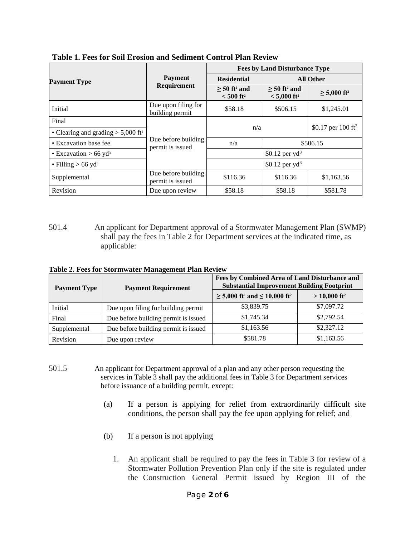|                                                  |                                         |                                                       | <b>Fees by Land Disturbance Type</b>                    |                                |
|--------------------------------------------------|-----------------------------------------|-------------------------------------------------------|---------------------------------------------------------|--------------------------------|
| <b>Payment Type</b>                              | <b>Payment</b><br>Requirement           | <b>Residential</b>                                    |                                                         | <b>All Other</b>               |
|                                                  |                                         | $> 50$ ft <sup>2</sup> and<br>$< 500$ ft <sup>2</sup> | $> 50$ ft <sup>2</sup> and<br>$< 5,000$ ft <sup>2</sup> | $\geq 5,000$ ft <sup>2</sup>   |
| Initial                                          | Due upon filing for<br>building permit  | \$58.18                                               | \$506.15                                                | \$1,245.01                     |
| Final                                            |                                         |                                                       |                                                         |                                |
| • Clearing and grading $> 5,000$ ft <sup>2</sup> |                                         | n/a                                                   |                                                         | \$0.17 per 100 ft <sup>2</sup> |
| • Excavation base fee                            | Due before building<br>permit is issued | n/a                                                   | \$506.15                                                |                                |
| • Excavation $> 66$ yd <sup>3</sup>              |                                         |                                                       | \$0.12 per $yd^3$                                       |                                |
| • Filling $> 66$ yd <sup>3</sup>                 |                                         | \$0.12 per $yd^3$                                     |                                                         |                                |
| Supplemental                                     | Due before building<br>permit is issued | \$116.36                                              | \$116.36                                                | \$1,163.56                     |
| Revision                                         | Due upon review                         | \$58.18                                               | \$58.18                                                 | \$581.78                       |

**Table 1. Fees for Soil Erosion and Sediment Control Plan Review**

501.4 An applicant for Department approval of a Stormwater Management Plan (SWMP) shall pay the fees in Table 2 for Department services at the indicated time, as applicable:

**Table 2. Fees for Stormwater Management Plan Review**

| <b>Payment Type</b> | <b>Payment Requirement</b>           | Fees by Combined Area of Land Disturbance and<br><b>Substantial Improvement Building Footprint</b> |                            |
|---------------------|--------------------------------------|----------------------------------------------------------------------------------------------------|----------------------------|
|                     |                                      | $\geq 5,000$ ft <sup>2</sup> and $\leq 10,000$ ft <sup>2</sup>                                     | $> 10,000$ ft <sup>2</sup> |
| Initial             | Due upon filing for building permit  | \$3,839.75                                                                                         | \$7,097.72                 |
| Final               | Due before building permit is issued | \$1,745.34                                                                                         | \$2,792.54                 |
| Supplemental        | Due before building permit is issued | \$1,163.56                                                                                         | \$2,327.12                 |
| Revision            | Due upon review                      | \$581.78                                                                                           | \$1,163.56                 |

- 501.5 An applicant for Department approval of a plan and any other person requesting the services in Table 3 shall pay the additional fees in Table 3 for Department services before issuance of a building permit, except:
	- (a) If a person is applying for relief from extraordinarily difficult site conditions, the person shall pay the fee upon applying for relief; and
	- (b) If a person is not applying
		- 1. An applicant shall be required to pay the fees in Table 3 for review of a Stormwater Pollution Prevention Plan only if the site is regulated under the Construction General Permit issued by Region III of the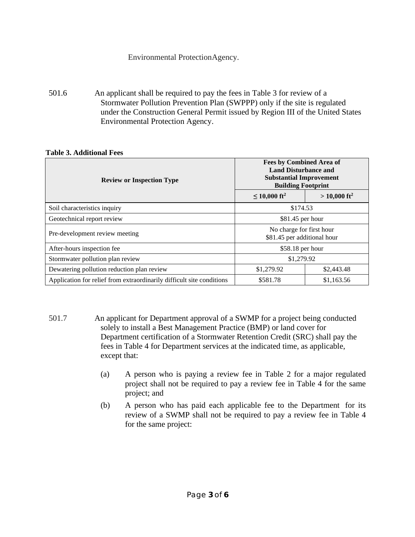# Environmental ProtectionAgency.

501.6 An applicant shall be required to pay the fees in Table 3 for review of a Stormwater Pollution Prevention Plan (SWPPP) only if the site is regulated under the Construction General Permit issued by Region III of the United States Environmental Protection Agency.

| <b>Review or Inspection Type</b>                                      | <b>Fees by Combined Area of</b><br><b>Land Disturbance and</b><br><b>Substantial Improvement</b><br><b>Building Footprint</b> |                            |
|-----------------------------------------------------------------------|-------------------------------------------------------------------------------------------------------------------------------|----------------------------|
|                                                                       | $\leq$ 10,000 ft <sup>2</sup>                                                                                                 | $>$ 10,000 ft <sup>2</sup> |
| Soil characteristics inquiry                                          | \$174.53                                                                                                                      |                            |
| Geotechnical report review                                            | $$81.45$ per hour                                                                                                             |                            |
| Pre-development review meeting                                        | No charge for first hour<br>\$81.45 per additional hour                                                                       |                            |
| After-hours inspection fee                                            | \$58.18 per hour                                                                                                              |                            |
| Stormwater pollution plan review                                      | \$1,279.92                                                                                                                    |                            |
| Dewatering pollution reduction plan review                            | \$1,279.92<br>\$2,443.48                                                                                                      |                            |
| Application for relief from extraordinarily difficult site conditions | \$581.78<br>\$1,163.56                                                                                                        |                            |

### **Table 3. Additional Fees**

- 501.7 An applicant for Department approval of a SWMP for a project being conducted solely to install a Best Management Practice (BMP) or land cover for Department certification of a Stormwater Retention Credit (SRC) shall pay the fees in Table 4 for Department services at the indicated time, as applicable, except that:
	- (a) A person who is paying a review fee in Table 2 for a major regulated project shall not be required to pay a review fee in Table 4 for the same project; and
	- (b) A person who has paid each applicable fee to the Department for its review of a SWMP shall not be required to pay a review fee in Table 4 for the same project: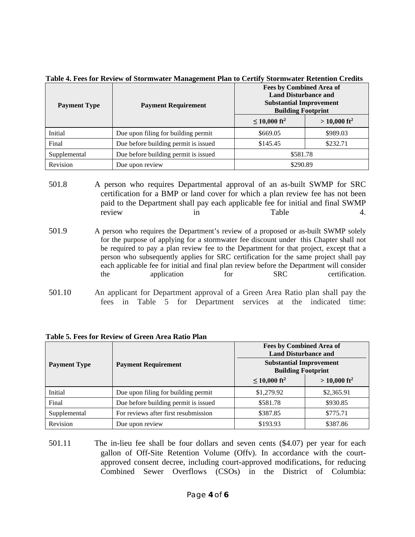| Table 4. Fees for Review of Stormwater Management Plan to Certify Stormwater Retention Credits |
|------------------------------------------------------------------------------------------------|
|------------------------------------------------------------------------------------------------|

| <b>Payment Type</b> | <b>Payment Requirement</b>           | <b>Fees by Combined Area of</b><br><b>Land Disturbance and</b><br><b>Substantial Improvement</b><br><b>Building Footprint</b> |                            |
|---------------------|--------------------------------------|-------------------------------------------------------------------------------------------------------------------------------|----------------------------|
|                     |                                      | $\leq 10,000$ ft <sup>2</sup>                                                                                                 | $>$ 10,000 ft <sup>2</sup> |
| Initial             | Due upon filing for building permit  | \$669.05                                                                                                                      | \$989.03                   |
| Final               | Due before building permit is issued | \$145.45                                                                                                                      | \$232.71                   |
| Supplemental        | Due before building permit is issued | \$581.78                                                                                                                      |                            |
| Revision            | Due upon review                      | \$290.89                                                                                                                      |                            |

<sup>501.8</sup> A person who requires Departmental approval of an as-built SWMP for SRC certification for a BMP or land cover for which a plan review fee has not been paid to the Department shall pay each applicable fee for initial and final SWMP review in Table 4.

<sup>501.10</sup> An applicant for Department approval of a Green Area Ratio plan shall pay the fees in Table 5 for Department services at the indicated time:

|  |  | Table 5. Fees for Review of Green Area Ratio Plan |  |
|--|--|---------------------------------------------------|--|
|--|--|---------------------------------------------------|--|

| <b>Payment Type</b> | <b>Payment Requirement</b>           | <b>Fees by Combined Area of</b><br><b>Land Disturbance and</b><br><b>Substantial Improvement</b><br><b>Building Footprint</b> |                            |
|---------------------|--------------------------------------|-------------------------------------------------------------------------------------------------------------------------------|----------------------------|
|                     |                                      | $\leq 10,000$ ft <sup>2</sup>                                                                                                 | $>$ 10,000 ft <sup>2</sup> |
| Initial             | Due upon filing for building permit  | \$1,279.92                                                                                                                    | \$2,365.91                 |
| Final               | Due before building permit is issued | \$581.78                                                                                                                      | \$930.85                   |
| Supplemental        | For reviews after first resubmission | \$387.85                                                                                                                      | \$775.71                   |
| Revision            | Due upon review                      | \$193.93                                                                                                                      | \$387.86                   |

501.11 The in-lieu fee shall be four dollars and seven cents (\$4.07) per year for each gallon of Off-Site Retention Volume (Offv). In accordance with the courtapproved consent decree, including court-approved modifications, for reducing Combined Sewer Overflows (CSOs) in the District of Columbia:

<sup>501.9</sup> A person who requires the Department's review of a proposed or as-built SWMP solely for the purpose of applying for a stormwater fee discount under this Chapter shall not be required to pay a plan review fee to the Department for that project, except that a person who subsequently applies for SRC certification for the same project shall pay each applicable fee for initial and final plan review before the Department will consider the application for SRC certification.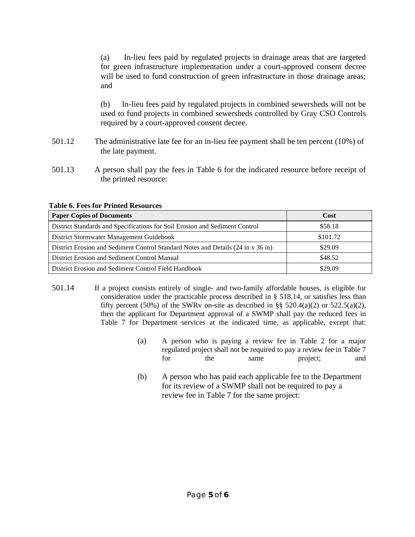(a) In-lieu fees paid by regulated projects in drainage areas that are targeted for green infrastructure implementation under a court-approved consent decree will be used to fund construction of green infrastructure in those drainage areas; and

(b) In-lieu fees paid by regulated projects in combined sewersheds will not be used to fund projects in combined sewersheds controlled by Gray CSO Controls required by a court-approved consent decree.

- 501.12 The administrative late fee for an in-lieu fee payment shall be ten percent (10%) of the late payment.
- 501.13 A person shall pay the fees in Table 6 for the indicated resource before receipt of the printed resource:

| <b>Paper Copies of Documents</b>                                                 | Cost     |
|----------------------------------------------------------------------------------|----------|
| District Standards and Specifications for Soil Erosion and Sediment Control      | \$58.18  |
| District Stormwater Management Guidebook                                         | \$101.72 |
| District Erosion and Sediment Control Standard Notes and Details (24 in x 36 in) | \$29.09  |
| District Erosion and Sediment Control Manual                                     | \$48.52  |
| District Erosion and Sediment Control Field Handbook                             | \$29.09  |

#### **Table 6. Fees for Printed Resources**

- 501.14 If a project consists entirely of single- and two-family affordable houses, is eligible for consideration under the practicable process described in § 518.14, or satisfies less than fifty percent (50%) of the SWRv on-site as described in §§ 520.4(a)(2) or 522.5(a)(2), then the applicant for Department approval of a SWMP shall pay the reduced fees in Table 7 for Department services at the indicated time, as applicable, except that:
	- (a) A person who is paying a review fee in Table 2 for a major regulated project shall not be required to pay a review fee in Table 7 for the same project; and
	- (b) A person who has paid each applicable fee to the Department for its review of a SWMP shall not be required to pay a review fee in Table 7 for the same project: